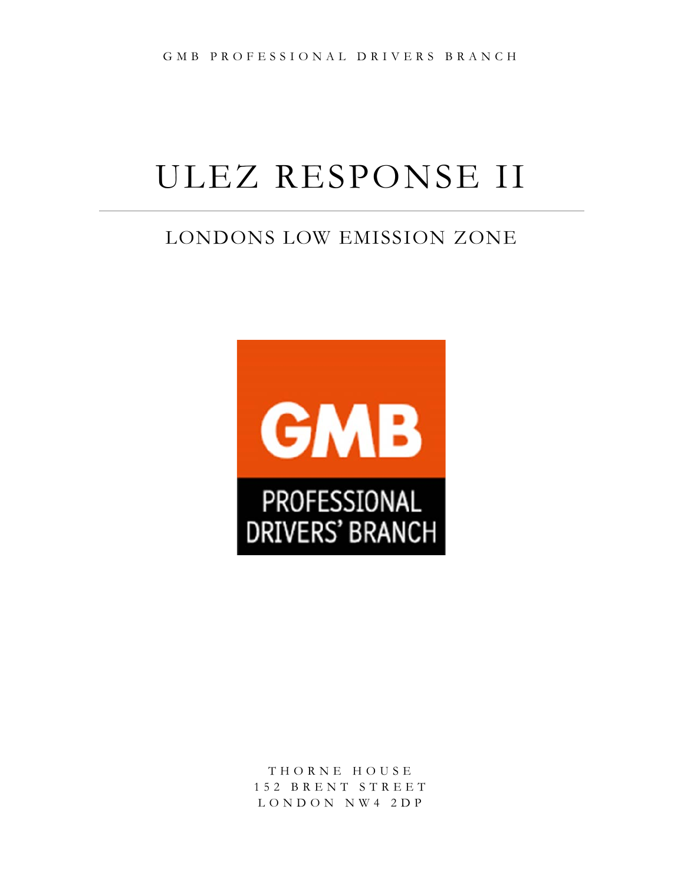# ULEZ RESPONSE II

# LONDONS LOW EMISSION ZONE



THORNE HOUSE 152 BRENT STREET LONDON NW4 2DP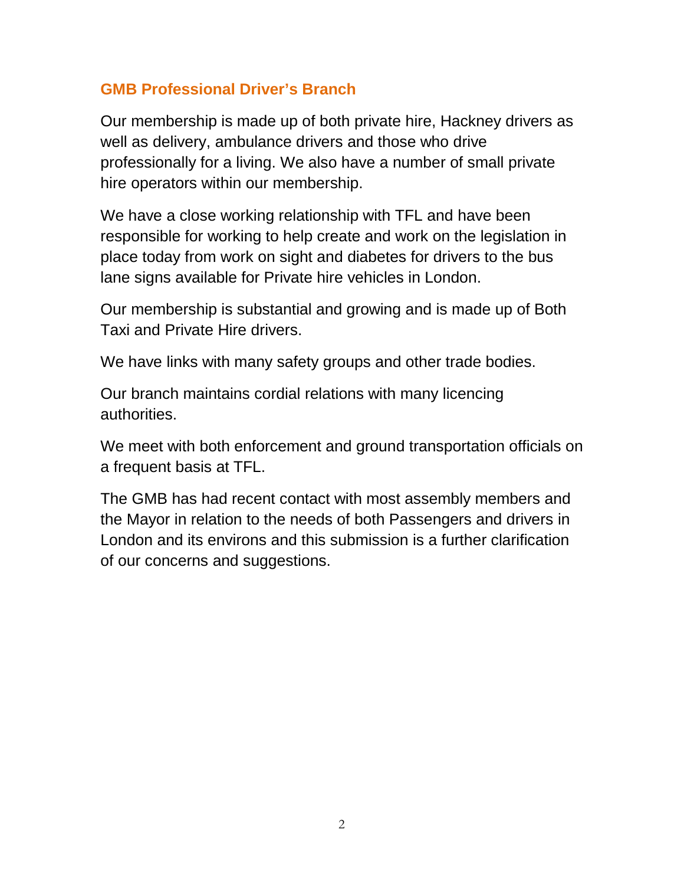## **GMB Professional Driver's Branch**

Our membership is made up of both private hire, Hackney drivers as well as delivery, ambulance drivers and those who drive professionally for a living. We also have a number of small private hire operators within our membership.

We have a close working relationship with TFL and have been responsible for working to help create and work on the legislation in place today from work on sight and diabetes for drivers to the bus lane signs available for Private hire vehicles in London.

Our membership is substantial and growing and is made up of Both Taxi and Private Hire drivers.

We have links with many safety groups and other trade bodies.

Our branch maintains cordial relations with many licencing authorities.

We meet with both enforcement and ground transportation officials on a frequent basis at TFL.

The GMB has had recent contact with most assembly members and the Mayor in relation to the needs of both Passengers and drivers in London and its environs and this submission is a further clarification of our concerns and suggestions.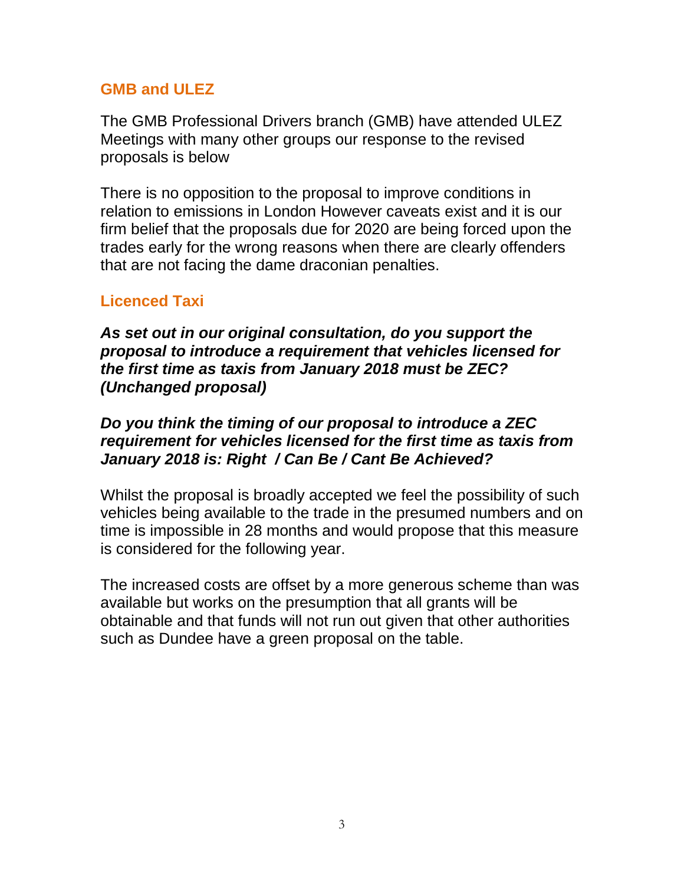#### **GMB and ULEZ**

The GMB Professional Drivers branch (GMB) have attended ULEZ Meetings with many other groups our response to the revised proposals is below

There is no opposition to the proposal to improve conditions in relation to emissions in London However caveats exist and it is our firm belief that the proposals due for 2020 are being forced upon the trades early for the wrong reasons when there are clearly offenders that are not facing the dame draconian penalties.

## **Licenced Taxi**

*As set out in our original consultation, do you support the proposal to introduce a requirement that vehicles licensed for the first time as taxis from January 2018 must be ZEC? (Unchanged proposal)*

#### *Do you think the timing of our proposal to introduce a ZEC requirement for vehicles licensed for the first time as taxis from January 2018 is: Right / Can Be / Cant Be Achieved?*

Whilst the proposal is broadly accepted we feel the possibility of such vehicles being available to the trade in the presumed numbers and on time is impossible in 28 months and would propose that this measure is considered for the following year.

The increased costs are offset by a more generous scheme than was available but works on the presumption that all grants will be obtainable and that funds will not run out given that other authorities such as Dundee have a green proposal on the table.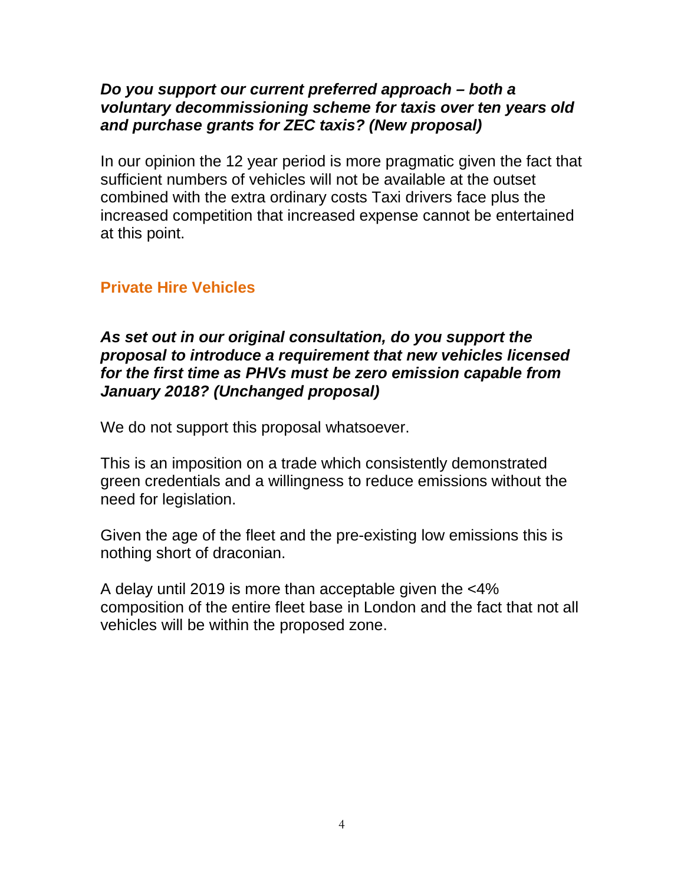#### *Do you support our current preferred approach – both a voluntary decommissioning scheme for taxis over ten years old and purchase grants for ZEC taxis? (New proposal)*

In our opinion the 12 year period is more pragmatic given the fact that sufficient numbers of vehicles will not be available at the outset combined with the extra ordinary costs Taxi drivers face plus the increased competition that increased expense cannot be entertained at this point.

## **Private Hire Vehicles**

#### *As set out in our original consultation, do you support the proposal to introduce a requirement that new vehicles licensed for the first time as PHVs must be zero emission capable from January 2018? (Unchanged proposal)*

We do not support this proposal whatsoever.

This is an imposition on a trade which consistently demonstrated green credentials and a willingness to reduce emissions without the need for legislation.

Given the age of the fleet and the pre-existing low emissions this is nothing short of draconian.

A delay until 2019 is more than acceptable given the <4% composition of the entire fleet base in London and the fact that not all vehicles will be within the proposed zone.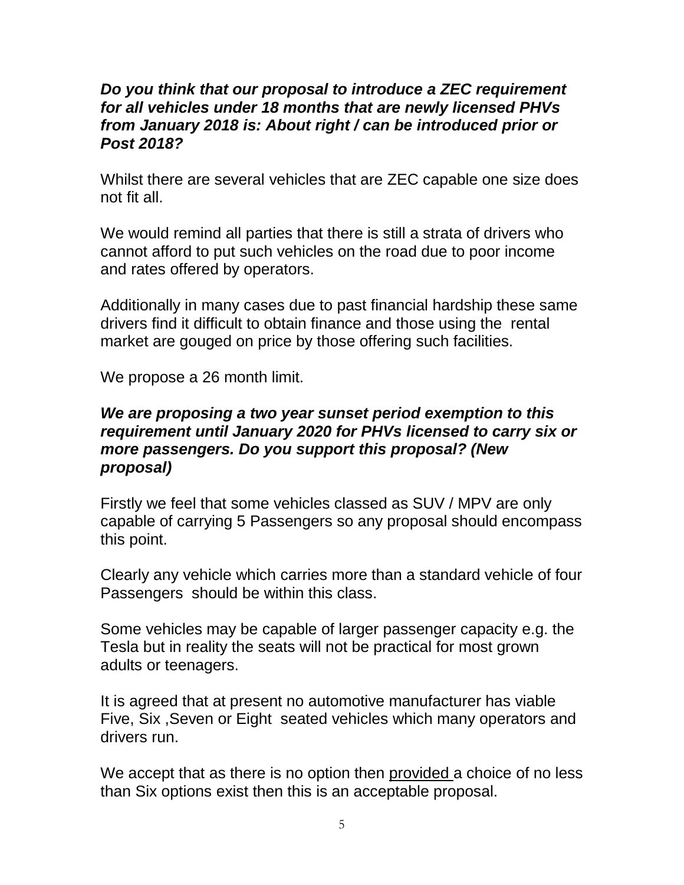#### *Do you think that our proposal to introduce a ZEC requirement for all vehicles under 18 months that are newly licensed PHVs from January 2018 is: About right / can be introduced prior or Post 2018?*

Whilst there are several vehicles that are ZEC capable one size does not fit all.

We would remind all parties that there is still a strata of drivers who cannot afford to put such vehicles on the road due to poor income and rates offered by operators.

Additionally in many cases due to past financial hardship these same drivers find it difficult to obtain finance and those using the rental market are gouged on price by those offering such facilities.

We propose a 26 month limit.

#### *We are proposing a two year sunset period exemption to this requirement until January 2020 for PHVs licensed to carry six or more passengers. Do you support this proposal? (New proposal)*

Firstly we feel that some vehicles classed as SUV / MPV are only capable of carrying 5 Passengers so any proposal should encompass this point.

Clearly any vehicle which carries more than a standard vehicle of four Passengers should be within this class.

Some vehicles may be capable of larger passenger capacity e.g. the Tesla but in reality the seats will not be practical for most grown adults or teenagers.

It is agreed that at present no automotive manufacturer has viable Five, Six ,Seven or Eight seated vehicles which many operators and drivers run.

We accept that as there is no option then provided a choice of no less than Six options exist then this is an acceptable proposal.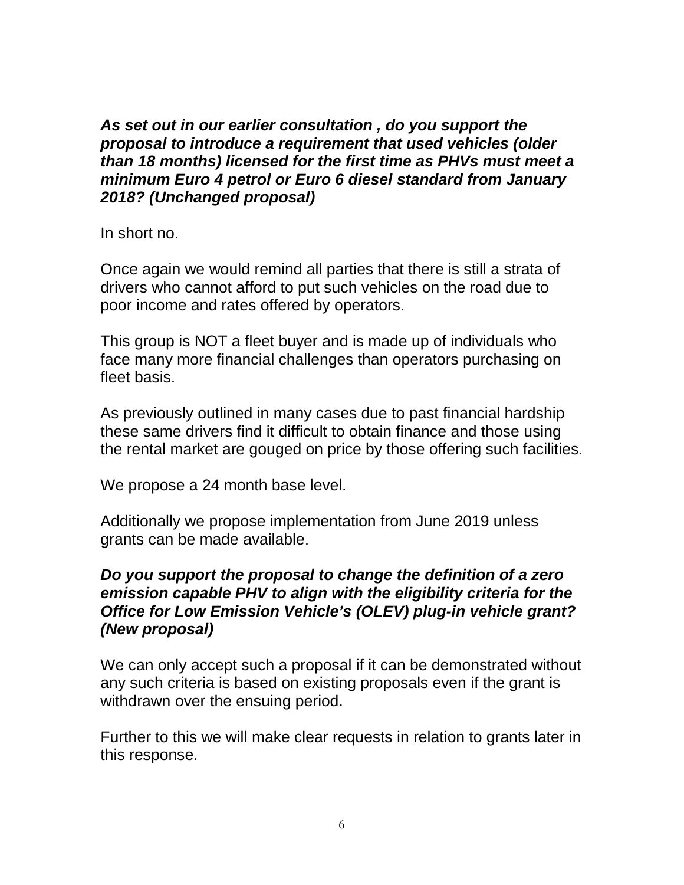*As set out in our earlier consultation , do you support the proposal to introduce a requirement that used vehicles (older than 18 months) licensed for the first time as PHVs must meet a minimum Euro 4 petrol or Euro 6 diesel standard from January 2018? (Unchanged proposal)*

In short no.

Once again we would remind all parties that there is still a strata of drivers who cannot afford to put such vehicles on the road due to poor income and rates offered by operators.

This group is NOT a fleet buyer and is made up of individuals who face many more financial challenges than operators purchasing on fleet basis.

As previously outlined in many cases due to past financial hardship these same drivers find it difficult to obtain finance and those using the rental market are gouged on price by those offering such facilities.

We propose a 24 month base level.

Additionally we propose implementation from June 2019 unless grants can be made available.

#### *Do you support the proposal to change the definition of a zero emission capable PHV to align with the eligibility criteria for the Office for Low Emission Vehicle's (OLEV) plug-in vehicle grant? (New proposal)*

We can only accept such a proposal if it can be demonstrated without any such criteria is based on existing proposals even if the grant is withdrawn over the ensuing period.

Further to this we will make clear requests in relation to grants later in this response.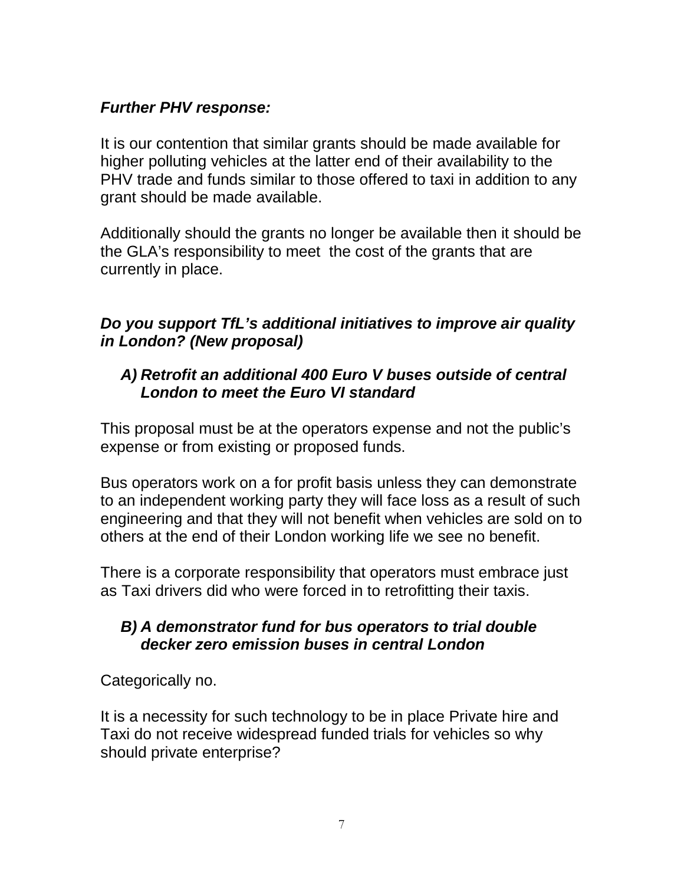## *Further PHV response:*

It is our contention that similar grants should be made available for higher polluting vehicles at the latter end of their availability to the PHV trade and funds similar to those offered to taxi in addition to any grant should be made available.

Additionally should the grants no longer be available then it should be the GLA's responsibility to meet the cost of the grants that are currently in place.

## *Do you support TfL's additional initiatives to improve air quality in London? (New proposal)*

## *A) Retrofit an additional 400 Euro V buses outside of central London to meet the Euro VI standard*

This proposal must be at the operators expense and not the public's expense or from existing or proposed funds.

Bus operators work on a for profit basis unless they can demonstrate to an independent working party they will face loss as a result of such engineering and that they will not benefit when vehicles are sold on to others at the end of their London working life we see no benefit.

There is a corporate responsibility that operators must embrace just as Taxi drivers did who were forced in to retrofitting their taxis.

## *B) A demonstrator fund for bus operators to trial double decker zero emission buses in central London*

Categorically no.

It is a necessity for such technology to be in place Private hire and Taxi do not receive widespread funded trials for vehicles so why should private enterprise?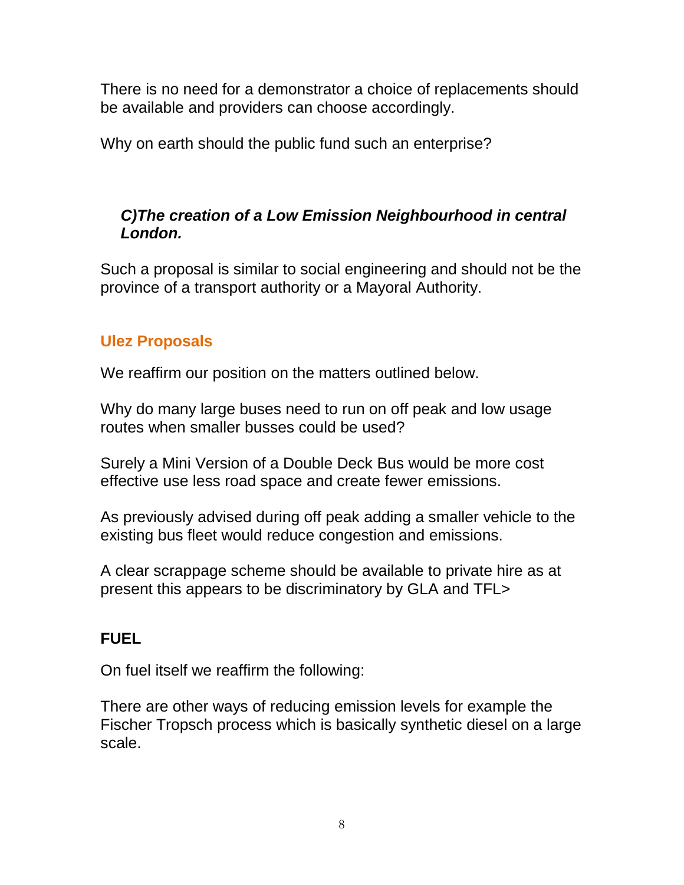There is no need for a demonstrator a choice of replacements should be available and providers can choose accordingly.

Why on earth should the public fund such an enterprise?

## *C)The creation of a Low Emission Neighbourhood in central London.*

Such a proposal is similar to social engineering and should not be the province of a transport authority or a Mayoral Authority.

## **Ulez Proposals**

We reaffirm our position on the matters outlined below.

Why do many large buses need to run on off peak and low usage routes when smaller busses could be used?

Surely a Mini Version of a Double Deck Bus would be more cost effective use less road space and create fewer emissions.

As previously advised during off peak adding a smaller vehicle to the existing bus fleet would reduce congestion and emissions.

A clear scrappage scheme should be available to private hire as at present this appears to be discriminatory by GLA and TFL>

## **FUEL**

On fuel itself we reaffirm the following:

There are other ways of reducing emission levels for example the Fischer Tropsch process which is basically synthetic diesel on a large scale.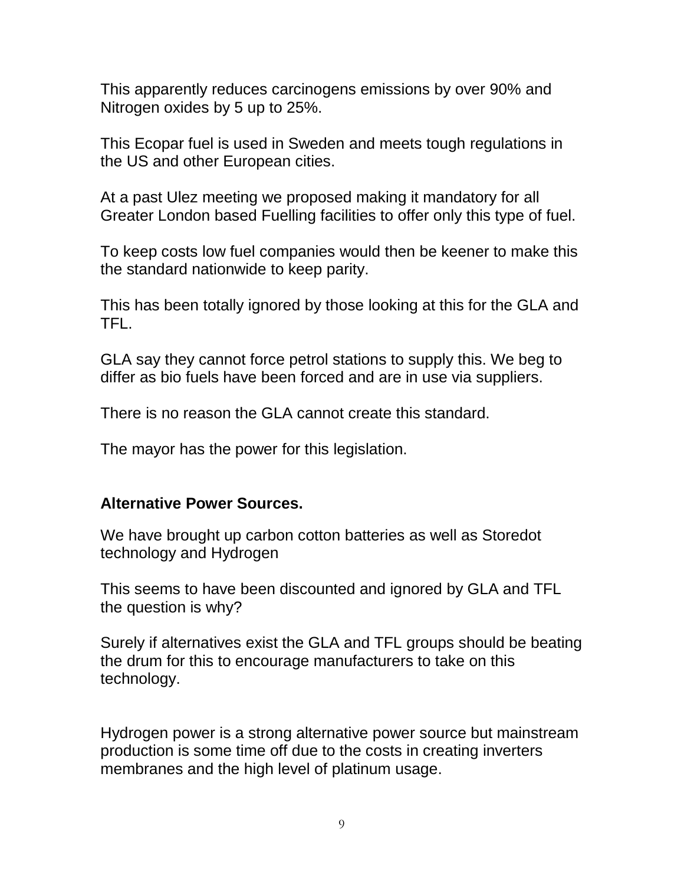This apparently reduces carcinogens emissions by over 90% and Nitrogen oxides by 5 up to 25%.

This Ecopar fuel is used in Sweden and meets tough regulations in the US and other European cities.

At a past Ulez meeting we proposed making it mandatory for all Greater London based Fuelling facilities to offer only this type of fuel.

To keep costs low fuel companies would then be keener to make this the standard nationwide to keep parity.

This has been totally ignored by those looking at this for the GLA and TFL.

GLA say they cannot force petrol stations to supply this. We beg to differ as bio fuels have been forced and are in use via suppliers.

There is no reason the GLA cannot create this standard.

The mayor has the power for this legislation.

#### **Alternative Power Sources.**

We have brought up carbon cotton batteries as well as Storedot technology and Hydrogen

This seems to have been discounted and ignored by GLA and TFL the question is why?

Surely if alternatives exist the GLA and TFL groups should be beating the drum for this to encourage manufacturers to take on this technology.

Hydrogen power is a strong alternative power source but mainstream production is some time off due to the costs in creating inverters membranes and the high level of platinum usage.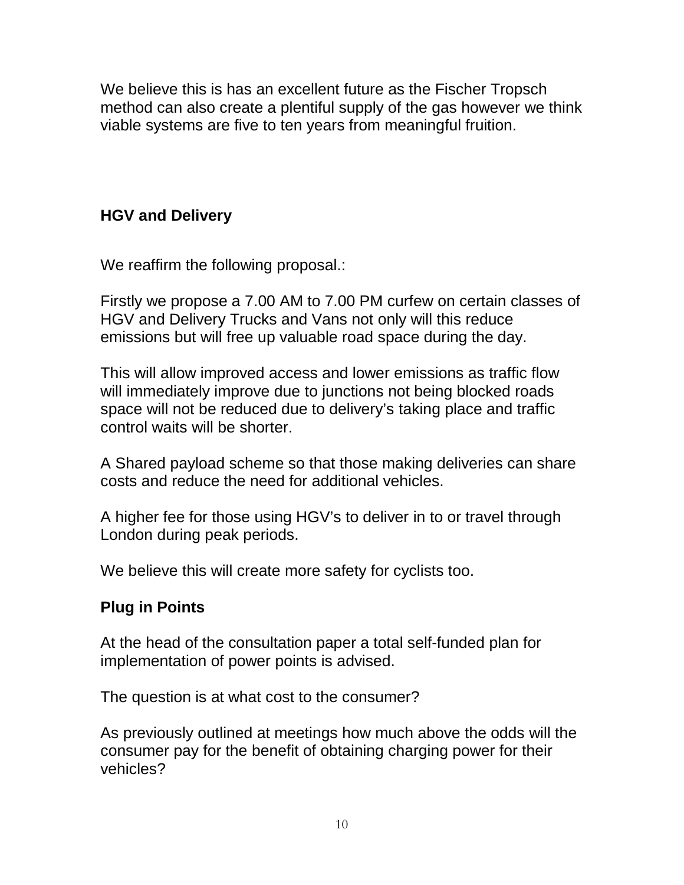We believe this is has an excellent future as the Fischer Tropsch method can also create a plentiful supply of the gas however we think viable systems are five to ten years from meaningful fruition.

## **HGV and Delivery**

We reaffirm the following proposal.:

Firstly we propose a 7.00 AM to 7.00 PM curfew on certain classes of HGV and Delivery Trucks and Vans not only will this reduce emissions but will free up valuable road space during the day.

This will allow improved access and lower emissions as traffic flow will immediately improve due to junctions not being blocked roads space will not be reduced due to delivery's taking place and traffic control waits will be shorter.

A Shared payload scheme so that those making deliveries can share costs and reduce the need for additional vehicles.

A higher fee for those using HGV's to deliver in to or travel through London during peak periods.

We believe this will create more safety for cyclists too.

## **Plug in Points**

At the head of the consultation paper a total self-funded plan for implementation of power points is advised.

The question is at what cost to the consumer?

As previously outlined at meetings how much above the odds will the consumer pay for the benefit of obtaining charging power for their vehicles?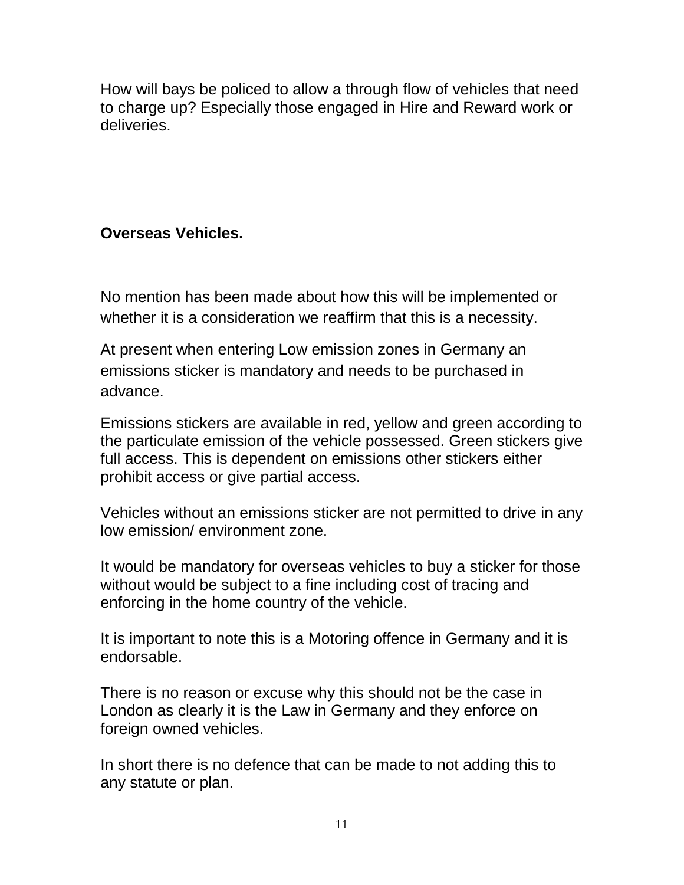How will bays be policed to allow a through flow of vehicles that need to charge up? Especially those engaged in Hire and Reward work or deliveries.

## **Overseas Vehicles.**

No mention has been made about how this will be implemented or whether it is a consideration we reaffirm that this is a necessity.

At present when entering Low emission zones in Germany an emissions sticker is mandatory and needs to be purchased in advance.

Emissions stickers are available in red, yellow and green according to the particulate emission of the vehicle possessed. Green stickers give full access. This is dependent on emissions other stickers either prohibit access or give partial access.

Vehicles without an emissions sticker are not permitted to drive in any low emission/ environment zone.

It would be mandatory for overseas vehicles to buy a sticker for those without would be subject to a fine including cost of tracing and enforcing in the home country of the vehicle.

It is important to note this is a Motoring offence in Germany and it is endorsable.

There is no reason or excuse why this should not be the case in London as clearly it is the Law in Germany and they enforce on foreign owned vehicles.

In short there is no defence that can be made to not adding this to any statute or plan.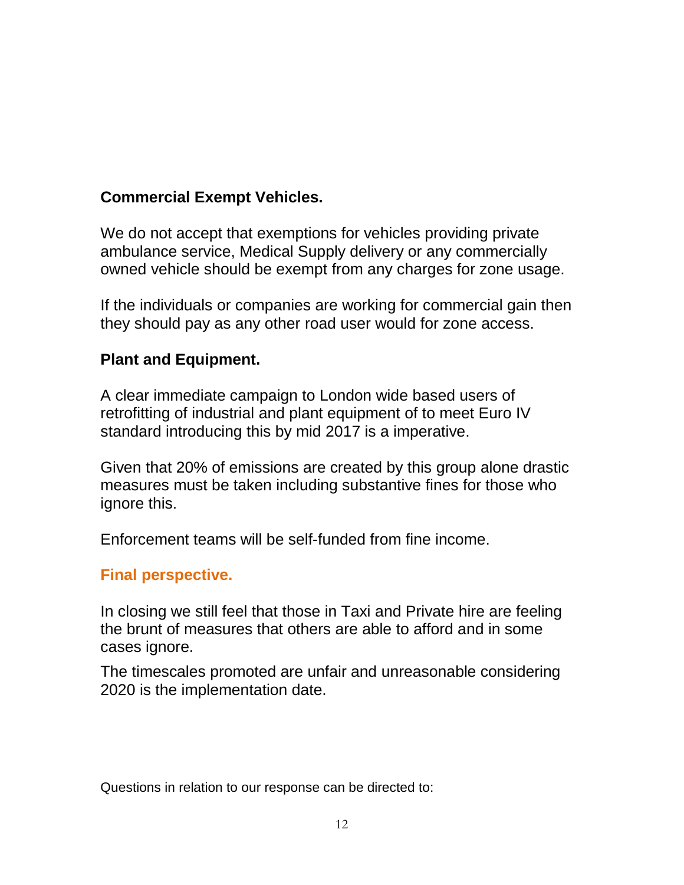## **Commercial Exempt Vehicles.**

We do not accept that exemptions for vehicles providing private ambulance service, Medical Supply delivery or any commercially owned vehicle should be exempt from any charges for zone usage.

If the individuals or companies are working for commercial gain then they should pay as any other road user would for zone access.

#### **Plant and Equipment.**

A clear immediate campaign to London wide based users of retrofitting of industrial and plant equipment of to meet Euro IV standard introducing this by mid 2017 is a imperative.

Given that 20% of emissions are created by this group alone drastic measures must be taken including substantive fines for those who ignore this.

Enforcement teams will be self-funded from fine income.

#### **Final perspective.**

In closing we still feel that those in Taxi and Private hire are feeling the brunt of measures that others are able to afford and in some cases ignore.

The timescales promoted are unfair and unreasonable considering 2020 is the implementation date.

Questions in relation to our response can be directed to: